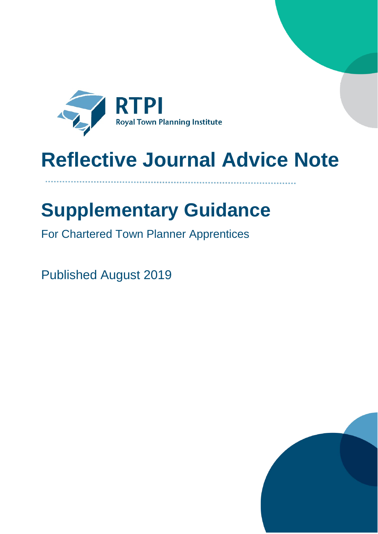

# **Reflective Journal Advice Note**

## **Supplementary Guidance**

For Chartered Town Planner Apprentices

Published August 2019

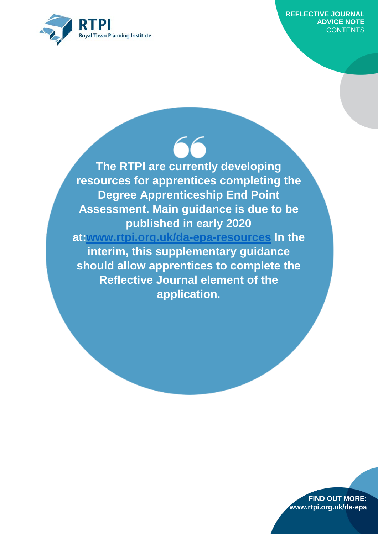

**The RTPI are currently developing resources for apprentices completing the Degree Apprenticeship End Point Assessment. Main guidance is due to be published in early 2020** 

**at[:www.rtpi.org.uk/da-epa-resources](http://www.rtpi.org.uk/da-epa-resources) In the interim, this supplementary guidance should allow apprentices to complete the Reflective Journal element of the application.**

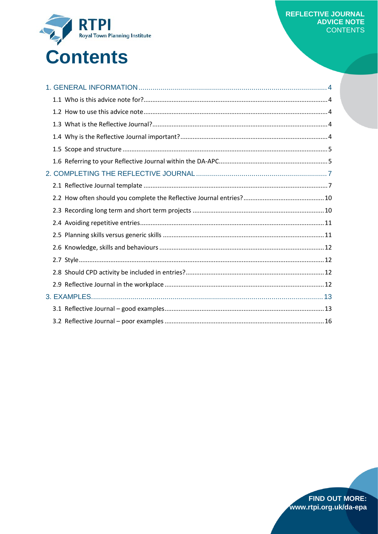

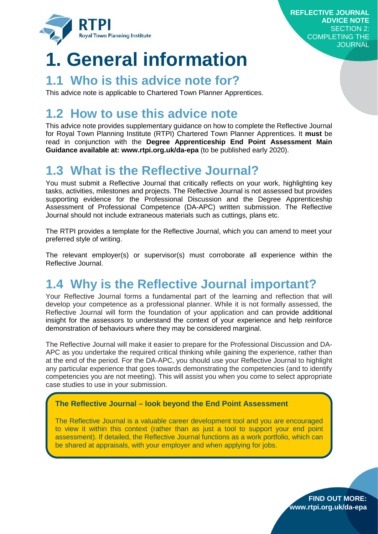

## <span id="page-3-0"></span>**1. General information**

## <span id="page-3-1"></span>**1.1 Who is this advice note for?**

This advice note is applicable to Chartered Town Planner Apprentices.

## <span id="page-3-2"></span>**1.2 How to use this advice note**

This advice note provides supplementary guidance on how to complete the Reflective Journal for Royal Town Planning Institute (RTPI) Chartered Town Planner Apprentices. It **must** be read in conjunction with the **Degree Apprenticeship End Point Assessment Main Guidance available at: www.rtpi.org.uk/da-epa** (to be published early 2020).

## <span id="page-3-3"></span>**1.3 What is the Reflective Journal?**

You must submit a Reflective Journal that critically reflects on your work, highlighting key tasks, activities, milestones and projects. The Reflective Journal is not assessed but provides supporting evidence for the Professional Discussion and the Degree Apprenticeship Assessment of Professional Competence (DA-APC) written submission. The Reflective Journal should not include extraneous materials such as cuttings, plans etc.

The RTPI provides a template for the Reflective Journal, which you can amend to meet your preferred style of writing.

The relevant employer(s) or supervisor(s) must corroborate all experience within the Reflective Journal.

## <span id="page-3-4"></span>**1.4 Why is the Reflective Journal important?**

Your Reflective Journal forms a fundamental part of the learning and reflection that will develop your competence as a professional planner. While it is not formally assessed, the Reflective Journal will form the foundation of your application and can provide additional insight for the assessors to understand the context of your experience and help reinforce demonstration of behaviours where they may be considered marginal.

The Reflective Journal will make it easier to prepare for the Professional Discussion and DA-APC as you undertake the required critical thinking while gaining the experience, rather than at the end of the period. For the DA-APC, you should use your Reflective Journal to highlight any particular experience that goes towards demonstrating the competencies (and to identify competencies you are not meeting). This will assist you when you come to select appropriate case studies to use in your submission.

#### **The Reflective Journal – look beyond the End Point Assessment**

The Reflective Journal is a valuable career development tool and you are encouraged to view it within this context (rather than as just a tool to support your end point assessment). If detailed, the Reflective Journal functions as a work portfolio, which can be shared at appraisals, with your employer and when applying for jobs.

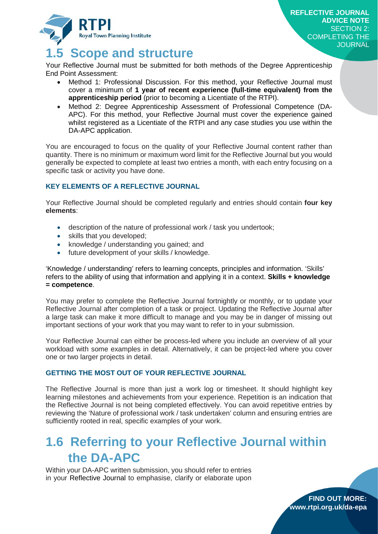

## <span id="page-4-0"></span>**1.5 Scope and structure**

Your Reflective Journal must be submitted for both methods of the Degree Apprenticeship End Point Assessment:

- Method 1: Professional Discussion. For this method, your Reflective Journal must cover a minimum of **1 year of recent experience (full-time equivalent) from the apprenticeship period** (prior to becoming a Licentiate of the RTPI).
- Method 2: Degree Apprenticeship Assessment of Professional Competence (DA-APC). For this method, your Reflective Journal must cover the experience gained whilst registered as a Licentiate of the RTPI and any case studies you use within the DA-APC application.

You are encouraged to focus on the quality of your Reflective Journal content rather than quantity. There is no minimum or maximum word limit for the Reflective Journal but you would generally be expected to complete at least two entries a month, with each entry focusing on a specific task or activity you have done.

#### **KEY ELEMENTS OF A REFLECTIVE JOURNAL**

Your Reflective Journal should be completed regularly and entries should contain **four key elements**:

- description of the nature of professional work / task you undertook;
- skills that you developed;
- knowledge / understanding you gained; and
- future development of your skills / knowledge.

'Knowledge / understanding' refers to learning concepts, principles and information. 'Skills' refers to the ability of using that information and applying it in a context. **Skills + knowledge = competence**.

You may prefer to complete the Reflective Journal fortnightly or monthly, or to update your Reflective Journal after completion of a task or project. Updating the Reflective Journal after a large task can make it more difficult to manage and you may be in danger of missing out important sections of your work that you may want to refer to in your submission.

Your Reflective Journal can either be process-led where you include an overview of all your workload with some examples in detail. Alternatively, it can be project-led where you cover one or two larger projects in detail.

#### **GETTING THE MOST OUT OF YOUR REFLECTIVE JOURNAL**

The Reflective Journal is more than just a work log or timesheet. It should highlight key learning milestones and achievements from your experience. Repetition is an indication that the Reflective Journal is not being completed effectively. You can avoid repetitive entries by reviewing the 'Nature of professional work / task undertaken' column and ensuring entries are sufficiently rooted in real, specific examples of your work.

## <span id="page-4-1"></span>**1.6 Referring to your Reflective Journal within the DA-APC**

Within your DA-APC written submission, you should refer to entries in your Reflective Journal to emphasise, clarify or elaborate upon

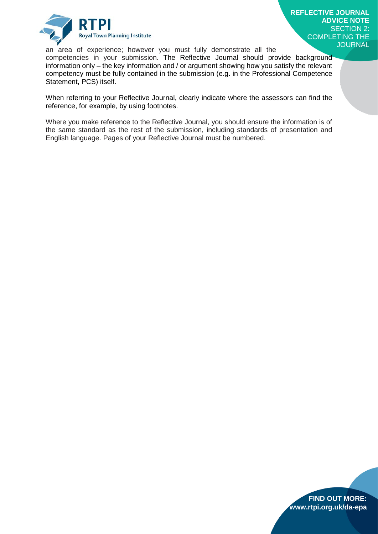

an area of experience; however you must fully demonstrate all the competencies in your submission. The Reflective Journal should provide background information only – the key information and / or argument showing how you satisfy the relevant competency must be fully contained in the submission (e.g. in the Professional Competence Statement, PCS) itself.

When referring to your Reflective Journal, clearly indicate where the assessors can find the reference, for example, by using footnotes.

Where you make reference to the Reflective Journal, you should ensure the information is of the same standard as the rest of the submission, including standards of presentation and English language. Pages of your Reflective Journal must be numbered.

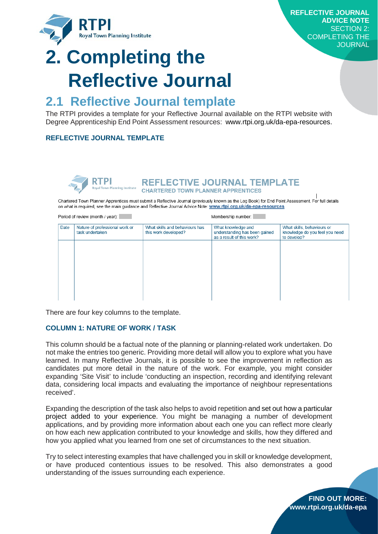

# <span id="page-6-0"></span>**2. Completing the Reflective Journal**

### <span id="page-6-1"></span>**2.1 Reflective Journal template**

The RTPI provides a template for your Reflective Journal available on the RTPI website with Degree Apprenticeship End Point Assessment resources: www.rtpi.org.uk/da-epa-resources.

#### **REFLECTIVE JOURNAL TEMPLATE**



REFLECTIVE JOURNAL TEMPLATE **CHARTERED TOWN PLANNER APPRENTICES** 

Chartered Town Planner Apprentices must submit a Reflective Journal (previously known as the Log Book) for End Point Assessment. For full details on what is required, see the main guidance and Reflective Journal Advice Note: www.rtpi.org.uk/da-epa-resources

Period of review (month / year):

Membership number:

| Date | Nature of professional work or<br>task undertaken | What skills and behaviours has<br>this work developed? | What knowledge and<br>understanding has been gained<br>as a result of this work? | What skills, behaviours or<br>knowledge do you feel you need<br>to develop? |
|------|---------------------------------------------------|--------------------------------------------------------|----------------------------------------------------------------------------------|-----------------------------------------------------------------------------|
|      |                                                   |                                                        |                                                                                  |                                                                             |
|      |                                                   |                                                        |                                                                                  |                                                                             |
|      |                                                   |                                                        |                                                                                  |                                                                             |
|      |                                                   |                                                        |                                                                                  |                                                                             |

There are four key columns to the template.

#### **COLUMN 1: NATURE OF WORK / TASK**

This column should be a factual note of the planning or planning-related work undertaken. Do not make the entries too generic. Providing more detail will allow you to explore what you have learned. In many Reflective Journals, it is possible to see the improvement in reflection as candidates put more detail in the nature of the work. For example, you might consider expanding 'Site Visit' to include 'conducting an inspection, recording and identifying relevant data, considering local impacts and evaluating the importance of neighbour representations received'.

Expanding the description of the task also helps to avoid repetition and set out how a particular project added to your experience. You might be managing a number of development applications, and by providing more information about each one you can reflect more clearly on how each new application contributed to your knowledge and skills, how they differed and how you applied what you learned from one set of circumstances to the next situation.

Try to select interesting examples that have challenged you in skill or knowledge development, or have produced contentious issues to be resolved. This also demonstrates a good understanding of the issues surrounding each experience.

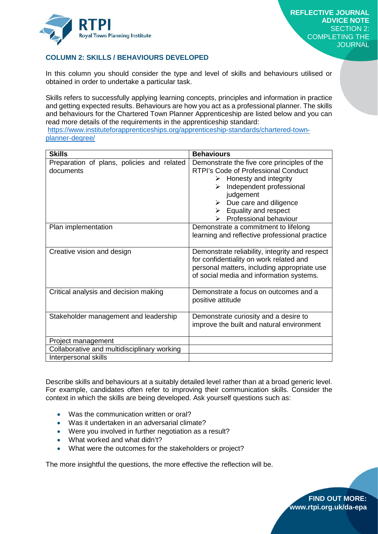

#### **COLUMN 2: SKILLS / BEHAVIOURS DEVELOPED**

In this column you should consider the type and level of skills and behaviours utilised or obtained in order to undertake a particular task.

Skills refers to successfully applying learning concepts, principles and information in practice and getting expected results. Behaviours are how you act as a professional planner. The skills and behaviours for the Chartered Town Planner Apprenticeship are listed below and you can read more details of the requirements in the apprenticeship standard:

[https://www.instituteforapprenticeships.org/apprenticeship-standards/chartered-town](https://www.instituteforapprenticeships.org/apprenticeship-standards/chartered-town-planner-degree/)[planner-degree/](https://www.instituteforapprenticeships.org/apprenticeship-standards/chartered-town-planner-degree/)

| <b>Skills</b>                                           | <b>Behaviours</b>                                                                                                                                                                                                                                                                                                |
|---------------------------------------------------------|------------------------------------------------------------------------------------------------------------------------------------------------------------------------------------------------------------------------------------------------------------------------------------------------------------------|
| Preparation of plans, policies and related<br>documents | Demonstrate the five core principles of the<br><b>RTPI's Code of Professional Conduct</b><br>$\triangleright$ Honesty and integrity<br>$\triangleright$ Independent professional<br>judgement<br>$\triangleright$ Due care and diligence<br>$\triangleright$ Equality and respect<br>Professional behaviour<br>➤ |
| Plan implementation                                     | Demonstrate a commitment to lifelong<br>learning and reflective professional practice                                                                                                                                                                                                                            |
| Creative vision and design                              | Demonstrate reliability, integrity and respect<br>for confidentiality on work related and<br>personal matters, including appropriate use<br>of social media and information systems.                                                                                                                             |
| Critical analysis and decision making                   | Demonstrate a focus on outcomes and a<br>positive attitude                                                                                                                                                                                                                                                       |
| Stakeholder management and leadership                   | Demonstrate curiosity and a desire to<br>improve the built and natural environment                                                                                                                                                                                                                               |
| Project management                                      |                                                                                                                                                                                                                                                                                                                  |
| Collaborative and multidisciplinary working             |                                                                                                                                                                                                                                                                                                                  |
| Interpersonal skills                                    |                                                                                                                                                                                                                                                                                                                  |

Describe skills and behaviours at a suitably detailed level rather than at a broad generic level. For example, candidates often refer to improving their communication skills. Consider the context in which the skills are being developed. Ask yourself questions such as:

- Was the communication written or oral?
- Was it undertaken in an adversarial climate?
- Were you involved in further negotiation as a result?
- What worked and what didn't?
- What were the outcomes for the stakeholders or project?

The more insightful the questions, the more effective the reflection will be.

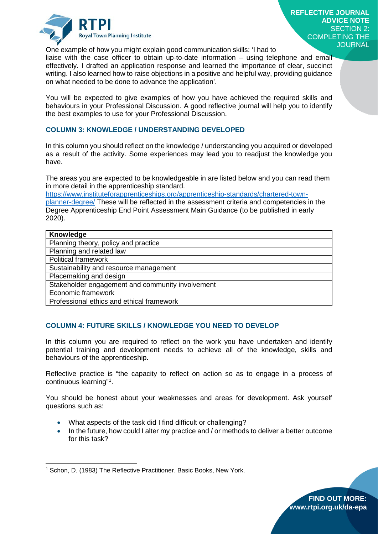

**REFLECTIVE JOURNAL ADVICE NOTE** SECTION 2: COMPLETING THE **JOURNAL** 

One example of how you might explain good communication skills: 'I had to

liaise with the case officer to obtain up-to-date information – using telephone and email effectively. I drafted an application response and learned the importance of clear, succinct writing. I also learned how to raise objections in a positive and helpful way, providing guidance on what needed to be done to advance the application'.

You will be expected to give examples of how you have achieved the required skills and behaviours in your Professional Discussion. A good reflective journal will help you to identify the best examples to use for your Professional Discussion.

#### **COLUMN 3: KNOWLEDGE / UNDERSTANDING DEVELOPED**

In this column you should reflect on the knowledge / understanding you acquired or developed as a result of the activity. Some experiences may lead you to readjust the knowledge you have.

The areas you are expected to be knowledgeable in are listed below and you can read them in more detail in the apprenticeship standard.

[https://www.instituteforapprenticeships.org/apprenticeship-standards/chartered-town](https://www.instituteforapprenticeships.org/apprenticeship-standards/chartered-town-planner-degree/)[planner-degree/](https://www.instituteforapprenticeships.org/apprenticeship-standards/chartered-town-planner-degree/) These will be reflected in the assessment criteria and competencies in the Degree Apprenticeship End Point Assessment Main Guidance (to be published in early 2020).

| Knowledge                                        |
|--------------------------------------------------|
| Planning theory, policy and practice             |
| Planning and related law                         |
| <b>Political framework</b>                       |
| Sustainability and resource management           |
| Placemaking and design                           |
| Stakeholder engagement and community involvement |
| Economic framework                               |
| Professional ethics and ethical framework        |

#### **COLUMN 4: FUTURE SKILLS / KNOWLEDGE YOU NEED TO DEVELOP**

In this column you are required to reflect on the work you have undertaken and identify potential training and development needs to achieve all of the knowledge, skills and behaviours of the apprenticeship.

Reflective practice is "the capacity to reflect on action so as to engage in a process of continuous learning"[1](#page-8-0) .

You should be honest about your weaknesses and areas for development. Ask yourself questions such as:

- What aspects of the task did I find difficult or challenging?
- In the future, how could I alter my practice and / or methods to deliver a better outcome for this task?

 $\overline{a}$ 



<span id="page-8-0"></span><sup>&</sup>lt;sup>1</sup> Schon, D. (1983) The Reflective Practitioner. Basic Books, New York.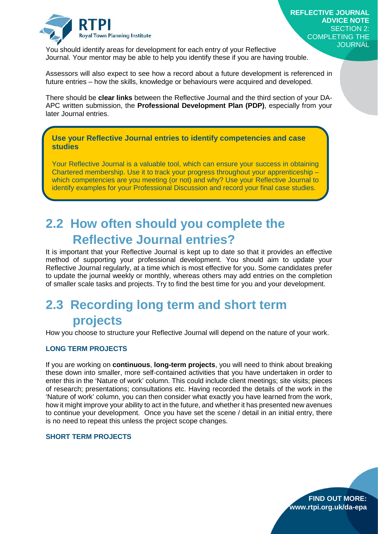

**FIND OUT MORE: www.rtpi.org.uk/da-epa**

You should identify areas for development for each entry of your Reflective Journal. Your mentor may be able to help you identify these if you are having trouble.

Assessors will also expect to see how a record about a future development is referenced in future entries – how the skills, knowledge or behaviours were acquired and developed.

There should be **clear links** between the Reflective Journal and the third section of your DA-APC written submission, the **Professional Development Plan (PDP)**, especially from your later Journal entries.

**Use your Reflective Journal entries to identify competencies and case studies**

Your Reflective Journal is a valuable tool, which can ensure your success in obtaining Chartered membership. Use it to track your progress throughout your apprenticeship – which competencies are you meeting (or not) and why? Use your Reflective Journal to identify examples for your Professional Discussion and record your final case studies.

## <span id="page-9-0"></span>**2.2 How often should you complete the Reflective Journal entries?**

It is important that your Reflective Journal is kept up to date so that it provides an effective method of supporting your professional development. You should aim to update your Reflective Journal regularly, at a time which is most effective for you. Some candidates prefer to update the journal weekly or monthly, whereas others may add entries on the completion of smaller scale tasks and projects. Try to find the best time for you and your development.

## <span id="page-9-1"></span>**2.3 Recording long term and short term projects**

How you choose to structure your Reflective Journal will depend on the nature of your work.

#### **LONG TERM PROJECTS**

If you are working on **continuous**, **long-term projects**, you will need to think about breaking these down into smaller, more self-contained activities that you have undertaken in order to enter this in the 'Nature of work' column. This could include client meetings; site visits; pieces of research; presentations; consultations etc. Having recorded the details of the work in the 'Nature of work' column, you can then consider what exactly you have learned from the work, how it might improve your ability to act in the future, and whether it has presented new avenues to continue your development. Once you have set the scene / detail in an initial entry, there is no need to repeat this unless the project scope changes.

#### **SHORT TERM PROJECTS**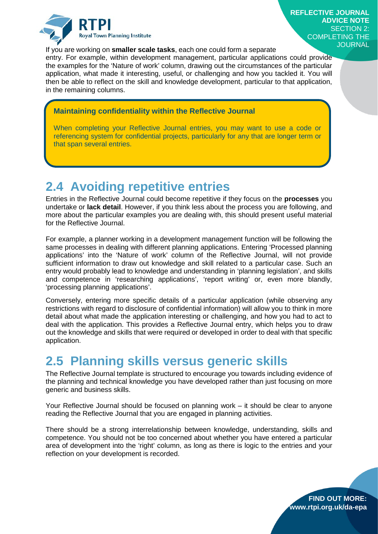

If you are working on **smaller scale tasks**, each one could form a separate

entry. For example, within development management, particular applications could provide the examples for the 'Nature of work' column, drawing out the circumstances of the particular application, what made it interesting, useful, or challenging and how you tackled it. You will then be able to reflect on the skill and knowledge development, particular to that application, in the remaining columns.

#### **Maintaining confidentiality within the Reflective Journal**

When completing your Reflective Journal entries, you may want to use a code or referencing system for confidential projects, particularly for any that are longer term or that span several entries.

## <span id="page-10-0"></span>**2.4 Avoiding repetitive entries**

Entries in the Reflective Journal could become repetitive if they focus on the **processes** you undertake or **lack detail**. However, if you think less about the process you are following, and more about the particular examples you are dealing with, this should present useful material for the Reflective Journal.

For example, a planner working in a development management function will be following the same processes in dealing with different planning applications. Entering 'Processed planning applications' into the 'Nature of work' column of the Reflective Journal, will not provide sufficient information to draw out knowledge and skill related to a particular case. Such an entry would probably lead to knowledge and understanding in 'planning legislation', and skills and competence in 'researching applications', 'report writing' or, even more blandly, 'processing planning applications'.

Conversely, entering more specific details of a particular application (while observing any restrictions with regard to disclosure of confidential information) will allow you to think in more detail about what made the application interesting or challenging, and how you had to act to deal with the application. This provides a Reflective Journal entry, which helps you to draw out the knowledge and skills that were required or developed in order to deal with that specific application.

## <span id="page-10-1"></span>**2.5 Planning skills versus generic skills**

The Reflective Journal template is structured to encourage you towards including evidence of the planning and technical knowledge you have developed rather than just focusing on more generic and business skills.

Your Reflective Journal should be focused on planning work – it should be clear to anyone reading the Reflective Journal that you are engaged in planning activities.

There should be a strong interrelationship between knowledge, understanding, skills and competence. You should not be too concerned about whether you have entered a particular area of development into the 'right' column, as long as there is logic to the entries and your reflection on your development is recorded.



**FIND OUT MORE: www.rtpi.org.uk/da-epa**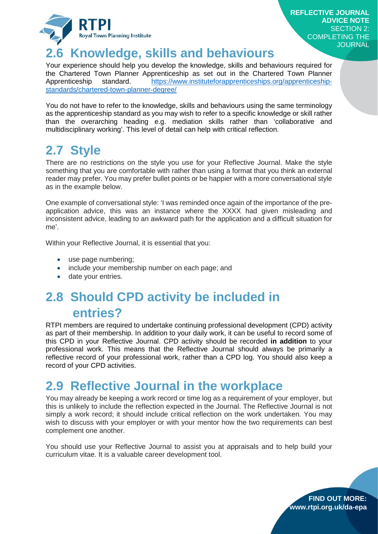

**FIND OUT MORE: www.rtpi.org.uk/da-epa**

## <span id="page-11-0"></span>**2.6 Knowledge, skills and behaviours**

Your experience should help you develop the knowledge, skills and behaviours required for the Chartered Town Planner Apprenticeship as set out in the Chartered Town Planner Apprenticeship standard. [https://www.instituteforapprenticeships.org/apprenticeship](https://www.instituteforapprenticeships.org/apprenticeship-standards/chartered-town-planner-degree/)[standards/chartered-town-planner-degree/](https://www.instituteforapprenticeships.org/apprenticeship-standards/chartered-town-planner-degree/)

You do not have to refer to the knowledge, skills and behaviours using the same terminology as the apprenticeship standard as you may wish to refer to a specific knowledge or skill rather than the overarching heading e.g. mediation skills rather than 'collaborative and multidisciplinary working'. This level of detail can help with critical reflection.

## <span id="page-11-1"></span>**2.7 Style**

There are no restrictions on the style you use for your Reflective Journal. Make the style something that you are comfortable with rather than using a format that you think an external reader may prefer. You may prefer bullet points or be happier with a more conversational style as in the example below.

One example of conversational style: 'I was reminded once again of the importance of the preapplication advice, this was an instance where the XXXX had given misleading and inconsistent advice, leading to an awkward path for the application and a difficult situation for me'.

Within your Reflective Journal, it is essential that you:

- use page numbering;
- include your membership number on each page; and
- date your entries.

## <span id="page-11-2"></span>**2.8 Should CPD activity be included in entries?**

RTPI members are required to undertake continuing professional development (CPD) activity as part of their membership. In addition to your daily work, it can be useful to record some of this CPD in your Reflective Journal. CPD activity should be recorded **in addition** to your professional work. This means that the Reflective Journal should always be primarily a reflective record of your professional work, rather than a CPD log. You should also keep a record of your CPD activities.

## <span id="page-11-3"></span>**2.9 Reflective Journal in the workplace**

You may already be keeping a work record or time log as a requirement of your employer, but this is unlikely to include the reflection expected in the Journal. The Reflective Journal is not simply a work record; it should include critical reflection on the work undertaken. You may wish to discuss with your employer or with your mentor how the two requirements can best complement one another.

You should use your Reflective Journal to assist you at appraisals and to help build your curriculum vitae. It is a valuable career development tool.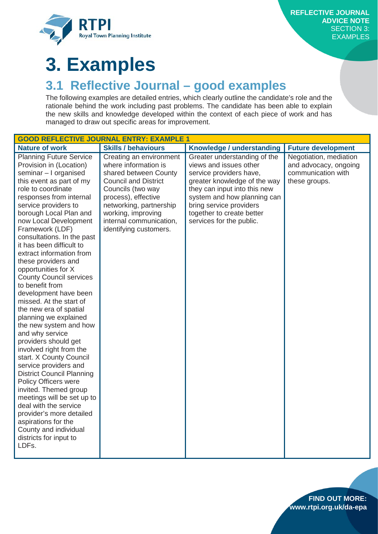

## <span id="page-12-0"></span>**3. Examples**

## <span id="page-12-1"></span>**3.1 Reflective Journal – good examples**

The following examples are detailed entries, which clearly outline the candidate's role and the rationale behind the work including past problems. The candidate has been able to explain the new skills and knowledge developed within the context of each piece of work and has managed to draw out specific areas for improvement.

| <b>Nature of work</b><br><b>Skills / behaviours</b><br>Knowledge / understanding<br><b>Future development</b><br>Negotiation, mediation<br><b>Planning Future Service</b><br>Greater understanding of the<br>Creating an environment<br>Provision in (Location)<br>where information is<br>views and issues other<br>and advocacy, ongoing                                                                                                                                                                                                                                                                                                                                                                                                                                                                                                                                                                                                                                                                                                                                                                                                                                                                                                                                                                                                                                            |
|---------------------------------------------------------------------------------------------------------------------------------------------------------------------------------------------------------------------------------------------------------------------------------------------------------------------------------------------------------------------------------------------------------------------------------------------------------------------------------------------------------------------------------------------------------------------------------------------------------------------------------------------------------------------------------------------------------------------------------------------------------------------------------------------------------------------------------------------------------------------------------------------------------------------------------------------------------------------------------------------------------------------------------------------------------------------------------------------------------------------------------------------------------------------------------------------------------------------------------------------------------------------------------------------------------------------------------------------------------------------------------------|
|                                                                                                                                                                                                                                                                                                                                                                                                                                                                                                                                                                                                                                                                                                                                                                                                                                                                                                                                                                                                                                                                                                                                                                                                                                                                                                                                                                                       |
| seminar - I organised<br>service providers have,<br>communication with<br>shared between County<br><b>Council and District</b><br>greater knowledge of the way<br>this event as part of my<br>these groups.<br>role to coordinate<br>Councils (two way<br>they can input into this new<br>responses from internal<br>process), effective<br>system and how planning can<br>service providers to<br>networking, partnership<br>bring service providers<br>borough Local Plan and<br>working, improving<br>together to create better<br>internal communication,<br>services for the public.<br>now Local Development<br>Framework (LDF)<br>identifying customers.<br>consultations. In the past<br>it has been difficult to<br>extract information from<br>these providers and<br>opportunities for X<br><b>County Council services</b><br>to benefit from<br>development have been<br>missed. At the start of<br>the new era of spatial<br>planning we explained<br>the new system and how<br>and why service<br>providers should get<br>involved right from the<br>start. X County Council<br>service providers and<br><b>District Council Planning</b><br><b>Policy Officers were</b><br>invited. Themed group<br>meetings will be set up to<br>deal with the service<br>provider's more detailed<br>aspirations for the<br>County and individual<br>districts for input to<br>LDFs. |

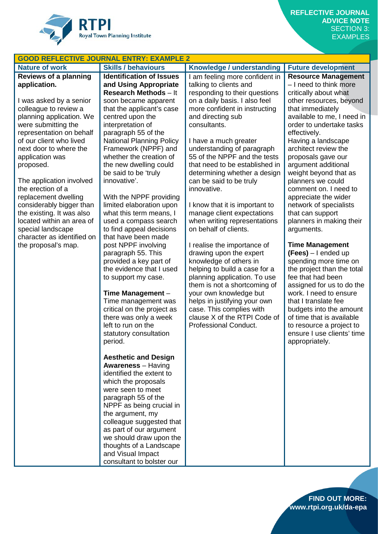

|                              | <b>GOOD REFLECTIVE JOURNAL ENTRY: EXAMPLE 2</b>    |                                                              |                                                 |
|------------------------------|----------------------------------------------------|--------------------------------------------------------------|-------------------------------------------------|
| <b>Nature of work</b>        | <b>Skills / behaviours</b>                         | Knowledge / understanding                                    | <b>Future development</b>                       |
| <b>Reviews of a planning</b> | <b>Identification of Issues</b>                    | I am feeling more confident in                               | <b>Resource Management</b>                      |
| application.                 | and Using Appropriate                              | talking to clients and                                       | - I need to think more                          |
|                              | <b>Research Methods - It</b>                       | responding to their questions                                | critically about what                           |
| I was asked by a senior      | soon became apparent                               | on a daily basis. I also feel                                | other resources, beyond                         |
| colleague to review a        | that the applicant's case                          | more confident in instructing                                | that immediately                                |
| planning application. We     | centred upon the                                   | and directing sub                                            | available to me, I need in                      |
| were submitting the          | interpretation of                                  | consultants.                                                 | order to undertake tasks                        |
| representation on behalf     | paragraph 55 of the                                |                                                              | effectively.                                    |
| of our client who lived      | <b>National Planning Policy</b>                    | I have a much greater                                        | Having a landscape                              |
| next door to where the       | Framework (NPPF) and                               | understanding of paragraph                                   | architect review the                            |
| application was              | whether the creation of                            | 55 of the NPPF and the tests                                 | proposals gave our                              |
| proposed.                    | the new dwelling could                             | that need to be established in                               | argument additional                             |
|                              | be said to be 'truly                               | determining whether a design                                 | weight beyond that as                           |
| The application involved     | innovative'.                                       | can be said to be truly                                      | planners we could                               |
| the erection of a            |                                                    | innovative.                                                  | comment on. I need to                           |
| replacement dwelling         | With the NPPF providing                            |                                                              | appreciate the wider                            |
| considerably bigger than     | limited elaboration upon                           | I know that it is important to                               | network of specialists                          |
| the existing. It was also    | what this term means, I                            | manage client expectations                                   | that can support                                |
| located within an area of    | used a compass search                              | when writing representations                                 | planners in making their                        |
| special landscape            | to find appeal decisions                           | on behalf of clients.                                        | arguments.                                      |
| character as identified on   | that have been made                                |                                                              |                                                 |
| the proposal's map.          | post NPPF involving                                | I realise the importance of                                  | <b>Time Management</b>                          |
|                              | paragraph 55. This                                 | drawing upon the expert                                      | $(Fees) - I$ ended up                           |
|                              | provided a key part of<br>the evidence that I used | knowledge of others in                                       | spending more time on                           |
|                              |                                                    | helping to build a case for a                                | the project than the total<br>fee that had been |
|                              | to support my case.                                | planning application. To use<br>them is not a shortcoming of | assigned for us to do the                       |
|                              | Time Management -                                  | your own knowledge but                                       | work. I need to ensure                          |
|                              | Time management was                                | helps in justifying your own                                 | that I translate fee                            |
|                              | critical on the project as                         | case. This complies with                                     | budgets into the amount                         |
|                              | there was only a week                              | clause X of the RTPI Code of                                 | of time that is available                       |
|                              | left to run on the                                 | Professional Conduct.                                        | to resource a project to                        |
|                              | statutory consultation                             |                                                              | ensure I use clients' time                      |
|                              | period.                                            |                                                              | appropriately.                                  |
|                              |                                                    |                                                              |                                                 |
|                              | <b>Aesthetic and Design</b>                        |                                                              |                                                 |
|                              | <b>Awareness</b> - Having                          |                                                              |                                                 |
|                              | identified the extent to                           |                                                              |                                                 |
|                              | which the proposals                                |                                                              |                                                 |
|                              | were seen to meet                                  |                                                              |                                                 |
|                              | paragraph 55 of the                                |                                                              |                                                 |
|                              | NPPF as being crucial in                           |                                                              |                                                 |
|                              | the argument, my                                   |                                                              |                                                 |
|                              | colleague suggested that                           |                                                              |                                                 |
|                              | as part of our argument                            |                                                              |                                                 |
|                              | we should draw upon the                            |                                                              |                                                 |
|                              | thoughts of a Landscape                            |                                                              |                                                 |
|                              | and Visual Impact                                  |                                                              |                                                 |
|                              | consultant to bolster our                          |                                                              |                                                 |
|                              |                                                    |                                                              |                                                 |

**FIND OUT MORE: www.rtpi.org.uk/da-epa**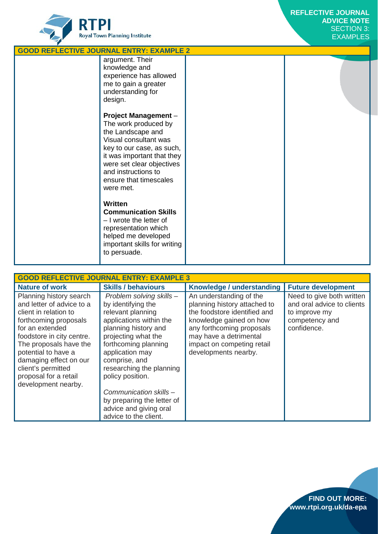

| <b>GOOD REFLECTIVE JOURNAL ENTRY: EXAMPLE 2</b> |                                                                                                                                                                                                                                                                                                                                                                                                                             |  |  |  |
|-------------------------------------------------|-----------------------------------------------------------------------------------------------------------------------------------------------------------------------------------------------------------------------------------------------------------------------------------------------------------------------------------------------------------------------------------------------------------------------------|--|--|--|
|                                                 | argument. Their<br>knowledge and<br>experience has allowed<br>me to gain a greater<br>understanding for<br>design.                                                                                                                                                                                                                                                                                                          |  |  |  |
|                                                 | <b>Project Management -</b><br>The work produced by<br>the Landscape and<br>Visual consultant was<br>key to our case, as such,<br>it was important that they<br>were set clear objectives<br>and instructions to<br>ensure that timescales<br>were met.<br>Written<br><b>Communication Skills</b><br>- I wrote the letter of<br>representation which<br>helped me developed<br>important skills for writing<br>to persuade. |  |  |  |

| <b>GOOD REFLECTIVE JOURNAL ENTRY: EXAMPLE 3</b>                                                                                                                                                                                                                                                         |                                                                                                                                                                                                                                                                                                                                                                      |                                                                                                                                                                                                                                 |                                                                                                           |  |  |
|---------------------------------------------------------------------------------------------------------------------------------------------------------------------------------------------------------------------------------------------------------------------------------------------------------|----------------------------------------------------------------------------------------------------------------------------------------------------------------------------------------------------------------------------------------------------------------------------------------------------------------------------------------------------------------------|---------------------------------------------------------------------------------------------------------------------------------------------------------------------------------------------------------------------------------|-----------------------------------------------------------------------------------------------------------|--|--|
| <b>Nature of work</b>                                                                                                                                                                                                                                                                                   | <b>Skills / behaviours</b>                                                                                                                                                                                                                                                                                                                                           | Knowledge / understanding                                                                                                                                                                                                       | <b>Future development</b>                                                                                 |  |  |
| Planning history search<br>and letter of advice to a<br>client in relation to<br>forthcoming proposals<br>for an extended<br>foodstore in city centre.<br>The proposals have the<br>potential to have a<br>damaging effect on our<br>client's permitted<br>proposal for a retail<br>development nearby. | Problem solving skills -<br>by identifying the<br>relevant planning<br>applications within the<br>planning history and<br>projecting what the<br>forthcoming planning<br>application may<br>comprise, and<br>researching the planning<br>policy position.<br>Communication skills -<br>by preparing the letter of<br>advice and giving oral<br>advice to the client. | An understanding of the<br>planning history attached to<br>the foodstore identified and<br>knowledge gained on how<br>any forthcoming proposals<br>may have a detrimental<br>impact on competing retail<br>developments nearby. | Need to give both written<br>and oral advice to clients<br>to improve my<br>competency and<br>confidence. |  |  |

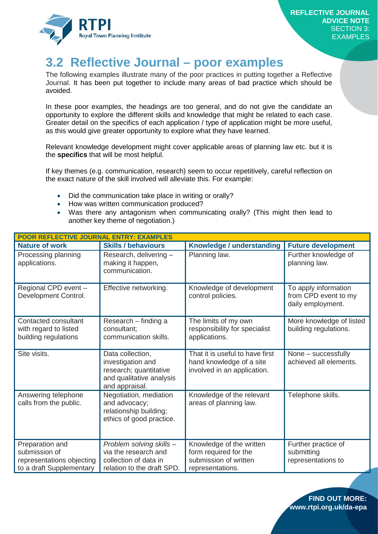

## <span id="page-15-0"></span>**3.2 Reflective Journal – poor examples**

The following examples illustrate many of the poor practices in putting together a Reflective Journal. It has been put together to include many areas of bad practice which should be avoided.

In these poor examples, the headings are too general, and do not give the candidate an opportunity to explore the different skills and knowledge that might be related to each case. Greater detail on the specifics of each application / type of application might be more useful, as this would give greater opportunity to explore what they have learned.

Relevant knowledge development might cover applicable areas of planning law etc. but it is the **specifics** that will be most helpful.

If key themes (e.g. communication, research) seem to occur repetitively, careful reflection on the exact nature of the skill involved will alleviate this. For example:

- Did the communication take place in writing or orally?
- How was written communication produced?
- Was there any antagonism when communicating orally? (This might then lead to another key theme of negotiation.)

| <b>POOR REFLECTIVE JOURNAL ENTRY: EXAMPLES</b>                                            |                                                                                                               |                                                                                                |                                                                   |  |
|-------------------------------------------------------------------------------------------|---------------------------------------------------------------------------------------------------------------|------------------------------------------------------------------------------------------------|-------------------------------------------------------------------|--|
| <b>Nature of work</b>                                                                     | <b>Skills / behaviours</b>                                                                                    | Knowledge / understanding                                                                      | <b>Future development</b>                                         |  |
| Processing planning<br>applications.                                                      | Research, delivering -<br>making it happen,<br>communication.                                                 | Planning law.                                                                                  | Further knowledge of<br>planning law.                             |  |
| Regional CPD event -<br>Development Control.                                              | Effective networking.                                                                                         | Knowledge of development<br>control policies.                                                  | To apply information<br>from CPD event to my<br>daily employment. |  |
| Contacted consultant<br>with regard to listed<br>building regulations                     | Research - finding a<br>consultant;<br>communication skills.                                                  | The limits of my own<br>responsibility for specialist<br>applications.                         | More knowledge of listed<br>building regulations.                 |  |
| Site visits.                                                                              | Data collection,<br>investigation and<br>research; quantitative<br>and qualitative analysis<br>and appraisal. | That it is useful to have first<br>hand knowledge of a site<br>involved in an application.     | None - successfully<br>achieved all elements.                     |  |
| Answering telephone<br>calls from the public.                                             | Negotiation, mediation<br>and advocacy;<br>relationship building;<br>ethics of good practice.                 | Knowledge of the relevant<br>areas of planning law.                                            | Telephone skills.                                                 |  |
| Preparation and<br>submission of<br>representations objecting<br>to a draft Supplementary | Problem solving skills -<br>via the research and<br>collection of data in<br>relation to the draft SPD.       | Knowledge of the written<br>form required for the<br>submission of written<br>representations. | Further practice of<br>submitting<br>representations to           |  |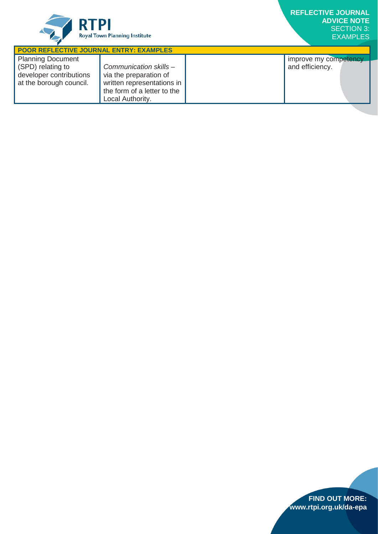

| <b>POOR REFLECTIVE JOURNAL ENTRY: EXAMPLES</b>                                                      |                                                                                                                                   |  |                                          |  |
|-----------------------------------------------------------------------------------------------------|-----------------------------------------------------------------------------------------------------------------------------------|--|------------------------------------------|--|
| <b>Planning Document</b><br>(SPD) relating to<br>developer contributions<br>at the borough council. | Communication skills -<br>via the preparation of<br>written representations in<br>the form of a letter to the<br>Local Authority. |  | improve my competency<br>and efficiency. |  |